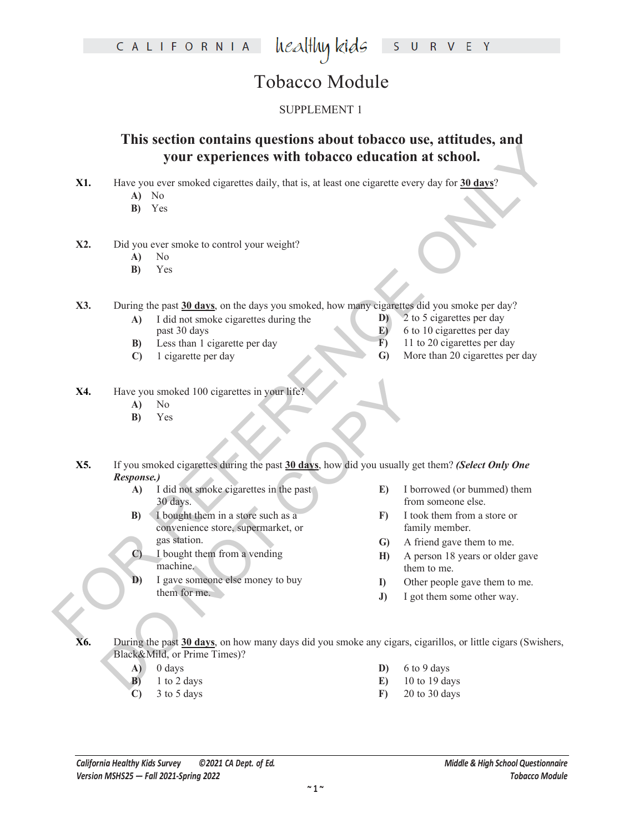### Tobacco Module

#### SUPPLEMENT 1

### **This section contains questions about tobacco use, attitudes, and your experiences with tobacco education at school.**

- **X1.** Have you ever smoked cigarettes daily, that is, at least one cigarette every day for **30 days**?
	- **A)** No
	- **B)** Yes
- **X2.** Did you ever smoke to control your weight?
	- **A)** No
	- **B)** Yes

**X3.** During the past **30 days**, on the days you smoked, how many cigarettes did you smoke per day? **D)** 2 to 5 cigarettes per day

- **A)** I did not smoke cigarettes during the past 30 days
- **B)** Less than 1 cigarette per day
- **C)** 1 cigarette per day

**F)** 11 to 20 cigarettes per day

**E)** 6 to 10 cigarettes per day

- **G)** More than 20 cigarettes per day
- **X4.** Have you smoked 100 cigarettes in your life?
	- **A)** No
	- **B)** Yes
- **EXPLANATION CONSULTER CONSULTING A**<br> **FOR PERIOD CONSULTER CONSULTER CONSULTER CONSULTER CONSULTER CONSULTER CONSULTER CONSULTER CONSULTER CONSULTER CONSULTER CONSULTER CONSULTER CONSULTER CONSULTER CONSULTER CONSULTER C** Have you smoked 100 cigarettes in your life?<br>
A) No<br>
B) Yes<br>
B (Response.)<br>
A) I did not smoke cigarettes in the past<br>
30 days.<br>
A) I did not smoke cigarettes in the past<br>
B (I booght them in a store such as a<br>
convenienc **X5.** If you smoked cigarettes during the past **30 days**, how did you usually get them? *(Select Only One Response.)*
	- **A)** I did not smoke cigarettes in the past 30 days.
	- **B)** I bought them in a store such as a convenience store, supermarket, or gas station.
	- **C)** I bought them from a vending machine.
	- **D)** I gave someone else money to buy them for me.
- **E)** I borrowed (or bummed) them from someone else.
- **F)** I took them from a store or family member.
- **G)** A friend gave them to me.
- **H)** A person 18 years or older gave them to me.
- **I)** Other people gave them to me.
- **J)** I got them some other way.

**X6.** During the past **30 days**, on how many days did you smoke any cigars, cigarillos, or little cigars (Swishers, Black&Mild, or Prime Times)?

- **A)** 0 days
- **B)** 1 to 2 days
- **C)** 3 to 5 days
- **D)** 6 to 9 days
- **E)** 10 to 19 days
- **F)** 20 to 30 days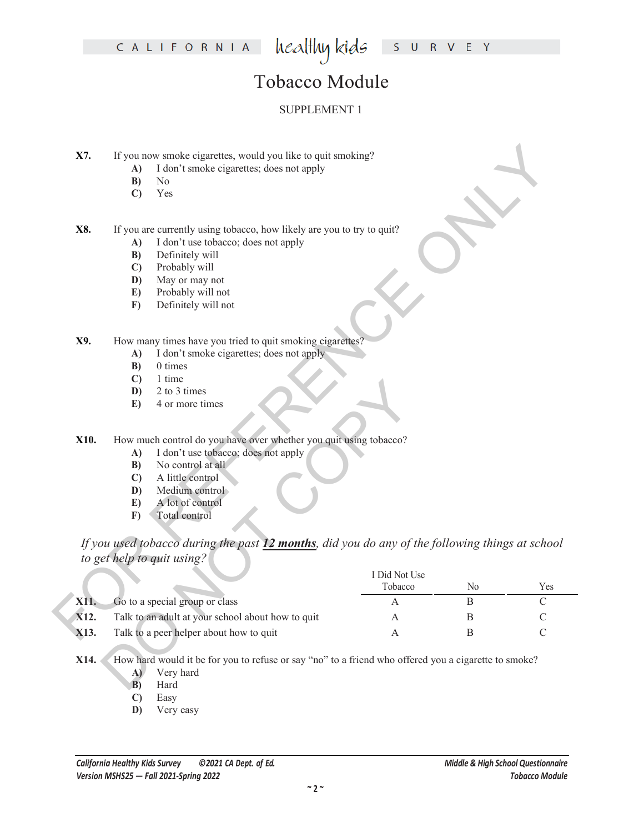# Tobacco Module

### SUPPLEMENT 1

- **X7.** If you now smoke cigarettes, would you like to quit smoking?
	- **A)** I don't smoke cigarettes; does not apply
	- **B)** No
	- **C)** Yes

- **A)** I don't use tobacco; does not apply
- **B)** Definitely will
- **C)** Probably will
- **D)** May or may not
- **E)** Probably will not
- **F)** Definitely will not

- **A)** I don't smoke cigarettes; does not apply
- **B)** 0 times
- **C)** 1 time
- **D)** 2 to 3 times
- **E)** 4 or more times

- **A)** I don't use tobacco; does not apply
- **B)** No control at all
- **C)** A little control
- **D)** Medium control
- **E)** A lot of control
- **F)** Total control

| X7.  | If you now smoke cigarettes, would you like to quit smoking?<br>I don't smoke cigarettes; does not apply<br>A) |                                                                                                                           |               |    |               |  |  |
|------|----------------------------------------------------------------------------------------------------------------|---------------------------------------------------------------------------------------------------------------------------|---------------|----|---------------|--|--|
|      | B)                                                                                                             | No                                                                                                                        |               |    |               |  |  |
|      | $\mathbf{C}$                                                                                                   | Yes                                                                                                                       |               |    |               |  |  |
|      |                                                                                                                |                                                                                                                           |               |    |               |  |  |
| X8.  | If you are currently using tobacco, how likely are you to try to quit?                                         |                                                                                                                           |               |    |               |  |  |
|      | A)                                                                                                             | I don't use tobacco; does not apply                                                                                       |               |    |               |  |  |
|      | B)                                                                                                             | Definitely will                                                                                                           |               |    |               |  |  |
|      | $\mathbf{C}$                                                                                                   | Probably will                                                                                                             |               |    |               |  |  |
|      | D)                                                                                                             | May or may not                                                                                                            |               |    |               |  |  |
|      | E)                                                                                                             | Probably will not                                                                                                         |               |    |               |  |  |
|      | F)                                                                                                             | Definitely will not                                                                                                       |               |    |               |  |  |
| X9.  |                                                                                                                | How many times have you tried to quit smoking cigarettes?                                                                 |               |    |               |  |  |
|      | A)                                                                                                             | I don't smoke cigarettes; does not apply                                                                                  |               |    |               |  |  |
|      | B)                                                                                                             | 0 times                                                                                                                   |               |    |               |  |  |
|      | $\mathbf{C}$                                                                                                   | 1 time                                                                                                                    |               |    |               |  |  |
|      | D)                                                                                                             | 2 to 3 times                                                                                                              |               |    |               |  |  |
|      | E)                                                                                                             | 4 or more times                                                                                                           |               |    |               |  |  |
|      |                                                                                                                |                                                                                                                           |               |    |               |  |  |
| X10. | How much control do you have over whether you quit using tobacco?                                              |                                                                                                                           |               |    |               |  |  |
|      | A)                                                                                                             | I don't use tobacco; does not apply                                                                                       |               |    |               |  |  |
|      | B)                                                                                                             | No control at all                                                                                                         |               |    |               |  |  |
|      | $\mathbf{C}$                                                                                                   | A little control                                                                                                          |               |    |               |  |  |
|      | D)                                                                                                             | Medium control                                                                                                            |               |    |               |  |  |
|      | E)                                                                                                             | A lot of control                                                                                                          |               |    |               |  |  |
|      | F)                                                                                                             | Total control                                                                                                             |               |    |               |  |  |
|      |                                                                                                                | If you used tobacco during the past 12 months, did you do any of the following things at school                           |               |    |               |  |  |
|      |                                                                                                                | to get help to quit using?                                                                                                |               |    |               |  |  |
|      |                                                                                                                |                                                                                                                           | I Did Not Use |    |               |  |  |
|      |                                                                                                                |                                                                                                                           | Tobacco       | No | Yes           |  |  |
| X11. |                                                                                                                | Go to a special group or class                                                                                            | А             | B  | $\mathcal{C}$ |  |  |
| X12. |                                                                                                                | Talk to an adult at your school about how to quit                                                                         | A             | B  | $\mathcal{C}$ |  |  |
| X13. |                                                                                                                | Talk to a peer helper about how to quit                                                                                   | A             | B  | $\mathcal{C}$ |  |  |
| X14. | $\mathbf{A}$<br>B)                                                                                             | How hard would it be for you to refuse or say "no" to a friend who offered you a cigarette to smoke?<br>Very hard<br>Hard |               |    |               |  |  |

- **A)** Very hard
- **B)** Hard
- **C)** Easy
- **D)** Very easy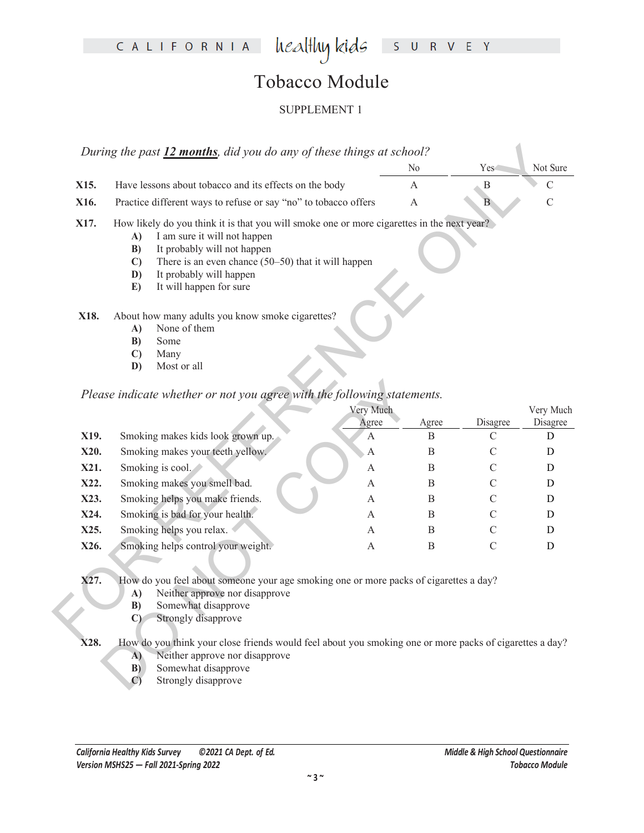## Tobacco Module

### SUPPLEMENT 1

- **A)** I am sure it will not happen
- **B)** It probably will not happen
- **C)** There is an even chance (50–50) that it will happen
- **D)** It probably will happen
- **E)** It will happen for sure

#### **X18.** About how many adults you know smoke cigarettes?

- **A)** None of them
- **B)** Some
- **C)** Many
- **D)** Most or all

#### *Please indicate whether or not you agree with the following statements.*

|              | During the past 12 months, did you do any of these things at school?                                                                                                                                                                                                                                                                                                                                                                                                                                                     |                    |              |                  |                       |  |  |  |  |
|--------------|--------------------------------------------------------------------------------------------------------------------------------------------------------------------------------------------------------------------------------------------------------------------------------------------------------------------------------------------------------------------------------------------------------------------------------------------------------------------------------------------------------------------------|--------------------|--------------|------------------|-----------------------|--|--|--|--|
|              |                                                                                                                                                                                                                                                                                                                                                                                                                                                                                                                          |                    | No           | Yes <sup>-</sup> | Not Sure              |  |  |  |  |
| X15.         | Have lessons about tobacco and its effects on the body                                                                                                                                                                                                                                                                                                                                                                                                                                                                   |                    | A            | $\, {\bf B}$     | C                     |  |  |  |  |
| X16.         |                                                                                                                                                                                                                                                                                                                                                                                                                                                                                                                          |                    | $\mathbf{A}$ | B                | $\mathcal{C}$         |  |  |  |  |
| X17.<br>X18. | Practice different ways to refuse or say "no" to tobacco offers<br>How likely do you think it is that you will smoke one or more cigarettes in the next year?<br>I am sure it will not happen<br>A)<br>It probably will not happen<br>B)<br>There is an even chance $(50-50)$ that it will happen<br>$\mathbf{C}$<br>It probably will happen<br>D)<br>It will happen for sure<br>E)<br>About how many adults you know smoke cigarettes?<br>None of them<br>A)<br>Some<br>B)<br>$\mathbf{C}$<br>Many<br>Most or all<br>D) |                    |              |                  |                       |  |  |  |  |
|              | Please indicate whether or not you agree with the following statements.                                                                                                                                                                                                                                                                                                                                                                                                                                                  | Very Much<br>Agree |              | Disagree         | Very Much<br>Disagree |  |  |  |  |
| X19.         | Smoking makes kids look grown up.                                                                                                                                                                                                                                                                                                                                                                                                                                                                                        | А                  | Agree<br>B   | $\mathcal{C}$    | D                     |  |  |  |  |
| X20.         | Smoking makes your teeth yellow.                                                                                                                                                                                                                                                                                                                                                                                                                                                                                         | А                  | B            | C                | D                     |  |  |  |  |
| X21.         | Smoking is cool.                                                                                                                                                                                                                                                                                                                                                                                                                                                                                                         | А                  | B            | $\mathcal{C}$    | D                     |  |  |  |  |
| X22.         | Smoking makes you smell bad.                                                                                                                                                                                                                                                                                                                                                                                                                                                                                             | A                  | B            | C                | D                     |  |  |  |  |
| X23.         | Smoking helps you make friends.                                                                                                                                                                                                                                                                                                                                                                                                                                                                                          | А                  | B            | $\mathcal{C}$    | D                     |  |  |  |  |
| X24.         | Smoking is bad for your health.                                                                                                                                                                                                                                                                                                                                                                                                                                                                                          | А                  | B            | C                | D                     |  |  |  |  |
| X25.         | Smoking helps you relax.                                                                                                                                                                                                                                                                                                                                                                                                                                                                                                 | А                  | B            | $\mathcal{C}$    | D                     |  |  |  |  |
| X26.         | Smoking helps control your weight.                                                                                                                                                                                                                                                                                                                                                                                                                                                                                       | А                  | B            | $\mathcal{C}$    | D                     |  |  |  |  |
| X27.<br>X28. | How do you feel about someone your age smoking one or more packs of cigarettes a day?<br>Neither approve nor disapprove<br>A)<br>Somewhat disapprove<br>B)<br>Strongly disapprove<br>$\mathbf{C}$<br>How do you think your close friends would feel about you smoking one or more packs of cigarettes a day?                                                                                                                                                                                                             |                    |              |                  |                       |  |  |  |  |
|              | Neither approve nor disapprove<br>A)<br>Somewhat disapprove<br>B)<br>$\mathbf{C}$<br>Strongly disapprove                                                                                                                                                                                                                                                                                                                                                                                                                 |                    |              |                  |                       |  |  |  |  |

- **A)** Neither approve nor disapprove
- **B)** Somewhat disapprove
- **C)** Strongly disapprove

- **B)** Somewhat disapprove
- **C)** Strongly disapprove